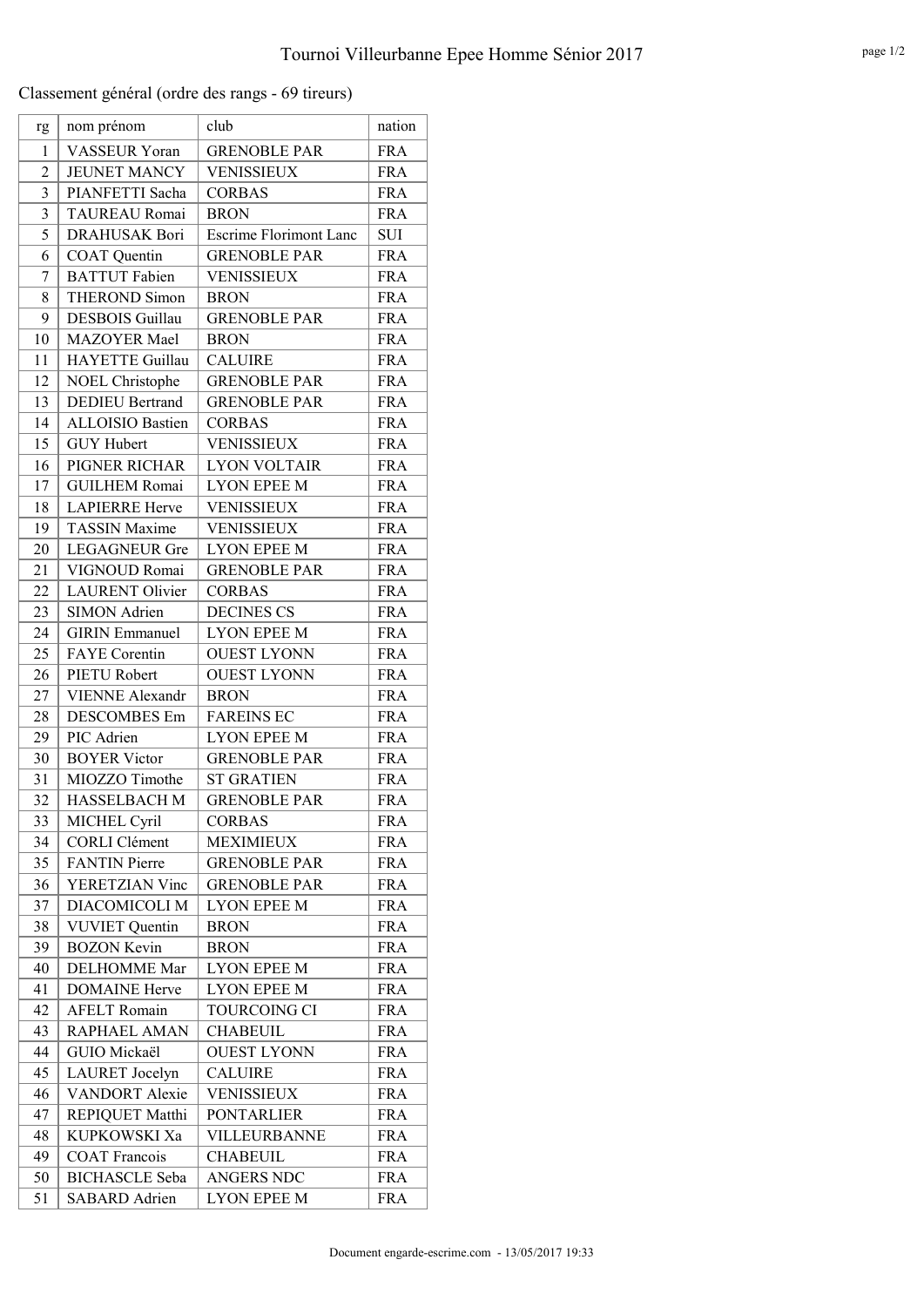Classement général (ordre des rangs - 69 tireurs)

| rg             | nom prénom              | club                          | nation     |
|----------------|-------------------------|-------------------------------|------------|
| 1              | <b>VASSEUR Yoran</b>    | <b>GRENOBLE PAR</b>           | <b>FRA</b> |
| $\overline{2}$ | <b>JEUNET MANCY</b>     | <b>VENISSIEUX</b>             | <b>FRA</b> |
| 3              | PIANFETTI Sacha         | <b>CORBAS</b>                 | <b>FRA</b> |
| 3              | <b>TAUREAU Romai</b>    | <b>BRON</b>                   | <b>FRA</b> |
| 5              | <b>DRAHUSAK Bori</b>    | <b>Escrime Florimont Lanc</b> | <b>SUI</b> |
| 6              | <b>COAT</b> Quentin     | <b>GRENOBLE PAR</b>           | <b>FRA</b> |
| 7              | <b>BATTUT</b> Fabien    | <b>VENISSIEUX</b>             | <b>FRA</b> |
| 8              | <b>THEROND Simon</b>    | <b>BRON</b>                   | <b>FRA</b> |
| 9              | <b>DESBOIS</b> Guillau  | <b>GRENOBLE PAR</b>           | <b>FRA</b> |
| 10             | <b>MAZOYER</b> Mael     | <b>BRON</b>                   | <b>FRA</b> |
| 11             | HAYETTE Guillau         | <b>CALUIRE</b>                | <b>FRA</b> |
| 12             | NOEL Christophe         | <b>GRENOBLE PAR</b>           | <b>FRA</b> |
| 13             | <b>DEDIEU Bertrand</b>  | <b>GRENOBLE PAR</b>           | <b>FRA</b> |
| 14             | <b>ALLOISIO Bastien</b> | <b>CORBAS</b>                 | <b>FRA</b> |
| 15             | <b>GUY Hubert</b>       | <b>VENISSIEUX</b>             | <b>FRA</b> |
| 16             | PIGNER RICHAR           | <b>LYON VOLTAIR</b>           | <b>FRA</b> |
| 17             | <b>GUILHEM Romai</b>    | <b>LYON EPEE M</b>            | <b>FRA</b> |
| 18             | <b>LAPIERRE Herve</b>   | <b>VENISSIEUX</b>             | <b>FRA</b> |
| 19             | <b>TASSIN Maxime</b>    | <b>VENISSIEUX</b>             | <b>FRA</b> |
| 20             | <b>LEGAGNEUR Gre</b>    | <b>LYON EPEE M</b>            | <b>FRA</b> |
| 21             | VIGNOUD Romai           | <b>GRENOBLE PAR</b>           | <b>FRA</b> |
| 22             | <b>LAURENT Olivier</b>  | <b>CORBAS</b>                 | <b>FRA</b> |
| 23             | <b>SIMON Adrien</b>     | <b>DECINES CS</b>             | <b>FRA</b> |
| 24             | <b>GIRIN</b> Emmanuel   | <b>LYON EPEE M</b>            | <b>FRA</b> |
| 25             | <b>FAYE</b> Corentin    | <b>OUEST LYONN</b>            | <b>FRA</b> |
| 26             | PIETU Robert            | <b>OUEST LYONN</b>            | <b>FRA</b> |
| 27             | <b>VIENNE Alexandr</b>  | <b>BRON</b>                   | <b>FRA</b> |
| 28             | <b>DESCOMBES</b> Em     | <b>FAREINS EC</b>             | <b>FRA</b> |
| 29             | PIC Adrien              | <b>LYON EPEE M</b>            | <b>FRA</b> |
| 30             | <b>BOYER Victor</b>     | <b>GRENOBLE PAR</b>           | <b>FRA</b> |
| 31             | MIOZZO Timothe          | <b>ST GRATIEN</b>             | <b>FRA</b> |
| 32             | <b>HASSELBACH M</b>     | <b>GRENOBLE PAR</b>           | <b>FRA</b> |
| 33             | MICHEL Cyril            | <b>CORBAS</b>                 | FRA        |
| 34             | <b>CORLI Clément</b>    | <b>MEXIMIEUX</b>              | <b>FRA</b> |
| 35             | <b>FANTIN</b> Pierre    | <b>GRENOBLE PAR</b>           | <b>FRA</b> |
| 36             | YERETZIAN Vinc          | <b>GRENOBLE PAR</b>           | <b>FRA</b> |
| 37             | DIACOMICOLI M           | <b>LYON EPEE M</b>            | <b>FRA</b> |
| 38             | <b>VUVIET Quentin</b>   | <b>BRON</b>                   | <b>FRA</b> |
| 39             | <b>BOZON Kevin</b>      | <b>BRON</b>                   | <b>FRA</b> |
| 40             | <b>DELHOMME</b> Mar     | <b>LYON EPEE M</b>            | <b>FRA</b> |
| 41             | <b>DOMAINE</b> Herve    | <b>LYON EPEE M</b>            | <b>FRA</b> |
| 42             | <b>AFELT Romain</b>     | TOURCOING CI                  | <b>FRA</b> |
| 43             | RAPHAEL AMAN            | <b>CHABEUIL</b>               | <b>FRA</b> |
| 44             | GUIO Mickaël            | <b>OUEST LYONN</b>            | <b>FRA</b> |
| 45             | <b>LAURET</b> Jocelyn   | <b>CALUIRE</b>                | <b>FRA</b> |
| 46             | <b>VANDORT</b> Alexie   | <b>VENISSIEUX</b>             | <b>FRA</b> |
| 47             | REPIQUET Matthi         | <b>PONTARLIER</b>             | <b>FRA</b> |
| 48             | KUPKOWSKI Xa            | VILLEURBANNE                  | <b>FRA</b> |
| 49             | <b>COAT Francois</b>    | <b>CHABEUIL</b>               | <b>FRA</b> |
| 50             | <b>BICHASCLE</b> Seba   | <b>ANGERS NDC</b>             | <b>FRA</b> |
| 51             | SABARD Adrien           | <b>LYON EPEE M</b>            | <b>FRA</b> |